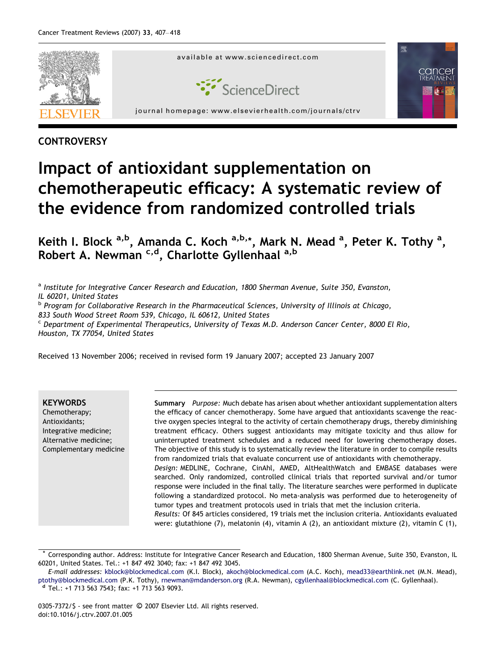

**CONTROVERSY** 

# Impact of antioxidant supplementation on chemotherapeutic efficacy: A systematic review of the evidence from randomized controlled trials

Keith I. Block <sup>a,b</sup>, Amanda C. Koch <sup>a,b,</sup>\*, Mark N. Mead <sup>a</sup>, Peter K. Tothy <sup>a</sup>, Robert A. Newman<sup>c,d</sup>, Charlotte Gyllenhaal a,b

a Institute for Integrative Cancer Research and Education, 1800 Sherman Avenue, Suite 350, Evanston, IL 60201, United States

<sup>b</sup> Program for Collaborative Research in the Pharmaceutical Sciences, University of Illinois at Chicago,

833 South Wood Street Room 539, Chicago, IL 60612, United States

<sup>c</sup> Department of Experimental Therapeutics, University of Texas M.D. Anderson Cancer Center, 8000 El Rio, Houston, TX 77054, United States

Received 13 November 2006; received in revised form 19 January 2007; accepted 23 January 2007

**KFYWORDS** 

Chemotherapy; Antioxidants; Integrative medicine; Alternative medicine; Complementary medicine Summary Purpose: Much debate has arisen about whether antioxidant supplementation alters the efficacy of cancer chemotherapy. Some have argued that antioxidants scavenge the reactive oxygen species integral to the activity of certain chemotherapy drugs, thereby diminishing treatment efficacy. Others suggest antioxidants may mitigate toxicity and thus allow for uninterrupted treatment schedules and a reduced need for lowering chemotherapy doses. The objective of this study is to systematically review the literature in order to compile results from randomized trials that evaluate concurrent use of antioxidants with chemotherapy. Design: MEDLINE, Cochrane, CinAhl, AMED, AltHealthWatch and EMBASE databases were searched. Only randomized, controlled clinical trials that reported survival and/or tumor response were included in the final tally. The literature searches were performed in duplicate following a standardized protocol. No meta-analysis was performed due to heterogeneity of tumor types and treatment protocols used in trials that met the inclusion criteria. Results: Of 845 articles considered, 19 trials met the inclusion criteria. Antioxidants evaluated were: glutathione (7), melatonin (4), vitamin A (2), an antioxidant mixture (2), vitamin C (1),

0305-7372/\$ - see front matter © 2007 Elsevier Ltd. All rights reserved. doi:10.1016/j.ctrv.2007.01.005

<sup>\*</sup> Corresponding author. Address: Institute for Integrative Cancer Research and Education, 1800 Sherman Avenue, Suite 350, Evanston, IL 60201, United States. Tel.: +1 847 492 3040; fax: +1 847 492 3045.

E-mail addresses: [kblock@blockmedical.com](mailto:kblock@blockmedical.com) (K.I. Block), [akoch@blockmedical.com](mailto:akoch@blockmedical.com) (A.C. Koch), [mead33@earthlink.net](mailto:mead33@earthlink.net) (M.N. Mead), [ptothy@blockmedical.com](mailto:ptothy@blockmedical.com) (P.K. Tothy), [rnewman@mdanderson.org](mailto:rnewman@mdanderson.org) (R.A. Newman), [cgyllenhaal@blockmedical.com](mailto:cgyllenhaal@blockmedical.com) (C. Gyllenhaal).<br><sup>d</sup> Tel.: +1 713 563 7543; fax: +1 713 563 9093.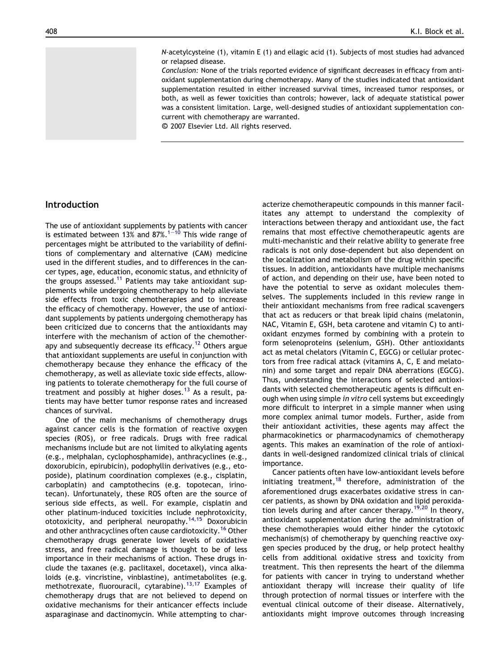N-acetylcysteine (1), vitamin E (1) and ellagic acid (1). Subjects of most studies had advanced or relapsed disease.

Conclusion: None of the trials reported evidence of significant decreases in efficacy from antioxidant supplementation during chemotherapy. Many of the studies indicated that antioxidant supplementation resulted in either increased survival times, increased tumor responses, or both, as well as fewer toxicities than controls; however, lack of adequate statistical power was a consistent limitation. Large, well-designed studies of antioxidant supplementation concurrent with chemotherapy are warranted.

-c 2007 Elsevier Ltd. All rights reserved.

#### Introduction

The use of antioxidant supplements by patients with cancer is estimated between 13% and 87%.<sup>[1–10](#page-9-0)</sup> This wide range of percentages might be attributed to the variability of definitions of complementary and alternative (CAM) medicine used in the different studies, and to differences in the cancer types, age, education, economic status, and ethnicity of the groups assessed.[11](#page-10-0) Patients may take antioxidant supplements while undergoing chemotherapy to help alleviate side effects from toxic chemotherapies and to increase the efficacy of chemotherapy. However, the use of antioxidant supplements by patients undergoing chemotherapy has been criticized due to concerns that the antioxidants may interfere with the mechanism of action of the chemother-apy and subsequently decrease its efficacy.<sup>[12](#page-10-0)</sup> Others argue that antioxidant supplements are useful in conjunction with chemotherapy because they enhance the efficacy of the chemotherapy, as well as alleviate toxic side effects, allowing patients to tolerate chemotherapy for the full course of treatment and possibly at higher doses.<sup>[13](#page-10-0)</sup> As a result, patients may have better tumor response rates and increased chances of survival.

One of the main mechanisms of chemotherapy drugs against cancer cells is the formation of reactive oxygen species (ROS), or free radicals. Drugs with free radical mechanisms include but are not limited to alkylating agents (e.g., melphalan, cyclophosphamide), anthracyclines (e.g., doxorubicin, epirubicin), podophyllin derivatives (e.g., etoposide), platinum coordination complexes (e.g., cisplatin, carboplatin) and camptothecins (e.g. topotecan, irinotecan). Unfortunately, these ROS often are the source of serious side effects, as well. For example, cisplatin and other platinum-induced toxicities include nephrotoxicity, ototoxicity, and peripheral neuropathy.<sup>[14,15](#page-10-0)</sup> Doxorubicin and other anthracyclines often cause cardiotoxicity.<sup>[16](#page-10-0)</sup> Other chemotherapy drugs generate lower levels of oxidative stress, and free radical damage is thought to be of less importance in their mechanisms of action. These drugs include the taxanes (e.g. paclitaxel, docetaxel), vinca alkaloids (e.g. vincristine, vinblastine), antimetabolites (e.g. methotrexate, fluorouracil, cytarabine).<sup>[13,17](#page-10-0)</sup> Examples of chemotherapy drugs that are not believed to depend on oxidative mechanisms for their anticancer effects include asparaginase and dactinomycin. While attempting to characterize chemotherapeutic compounds in this manner facilitates any attempt to understand the complexity of interactions between therapy and antioxidant use, the fact remains that most effective chemotherapeutic agents are multi-mechanistic and their relative ability to generate free radicals is not only dose-dependent but also dependent on the localization and metabolism of the drug within specific tissues. In addition, antioxidants have multiple mechanisms of action, and depending on their use, have been noted to have the potential to serve as oxidant molecules themselves. The supplements included in this review range in their antioxidant mechanisms from free radical scavengers that act as reducers or that break lipid chains (melatonin, NAC, Vitamin E, GSH, beta carotene and vitamin C) to antioxidant enzymes formed by combining with a protein to form selenoproteins (selenium, GSH). Other antioxidants act as metal chelators (Vitamin C, EGCG) or cellular protectors from free radical attack (vitamins A, C, E and melatonin) and some target and repair DNA aberrations (EGCG). Thus, understanding the interactions of selected antioxidants with selected chemotherapeutic agents is difficult enough when using simple in vitro cell systems but exceedingly more difficult to interpret in a simple manner when using more complex animal tumor models. Further, aside from their antioxidant activities, these agents may affect the pharmacokinetics or pharmacodynamics of chemotherapy agents. This makes an examination of the role of antioxidants in well-designed randomized clinical trials of clinical importance.

Cancer patients often have low-antioxidant levels before initiating treatment,<sup>[18](#page-10-0)</sup> therefore, administration of the aforementioned drugs exacerbates oxidative stress in cancer patients, as shown by DNA oxidation and lipid peroxida-tion levels during and after cancer therapy.<sup>[19,20](#page-10-0)</sup> In theory, antioxidant supplementation during the administration of these chemotherapies would either hinder the cytotoxic mechanism(s) of chemotherapy by quenching reactive oxygen species produced by the drug, or help protect healthy cells from additional oxidative stress and toxicity from treatment. This then represents the heart of the dilemma for patients with cancer in trying to understand whether antioxidant therapy will increase their quality of life through protection of normal tissues or interfere with the eventual clinical outcome of their disease. Alternatively, antioxidants might improve outcomes through increasing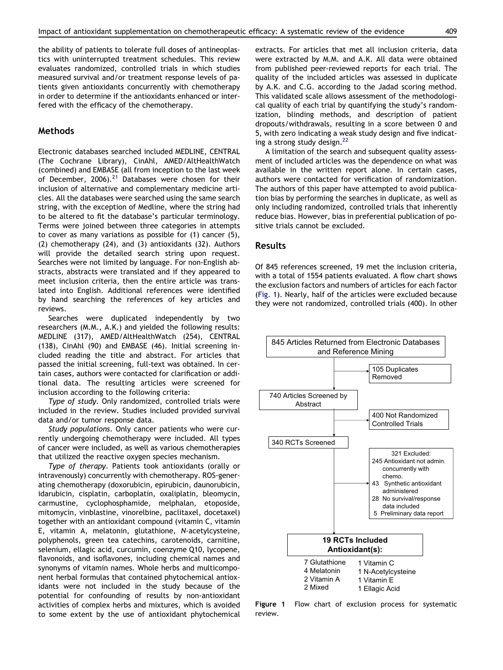the ability of patients to tolerate full doses of antineoplastics with uninterrupted treatment schedules. This review evaluates randomized, controlled trials in which studies measured survival and/or treatment response levels of patients given antioxidants concurrently with chemotherapy in order to determine if the antioxidants enhanced or interfered with the efficacy of the chemotherapy.

## Methods

Electronic databases searched included MEDLINE, CENTRAL (The Cochrane Library), CinAhl, AMED/AltHealthWatch (combined) and EMBASE (all from inception to the last week of December,  $2006$ ).<sup>[21](#page-10-0)</sup> Databases were chosen for their inclusion of alternative and complementary medicine articles. All the databases were searched using the same search string, with the exception of Medline, where the string had to be altered to fit the database's particular terminology. Terms were joined between three categories in attempts to cover as many variations as possible for (1) cancer (5), (2) chemotherapy (24), and (3) antioxidants (32). Authors will provide the detailed search string upon request. Searches were not limited by language. For non-English abstracts, abstracts were translated and if they appeared to meet inclusion criteria, then the entire article was translated into English. Additional references were identified by hand searching the references of key articles and reviews.

Searches were duplicated independently by two researchers (M.M., A.K.) and yielded the following results: MEDLINE (317), AMED/AltHealthWatch (254), CENTRAL (138), CinAhl (90) and EMBASE (46). Initial screening included reading the title and abstract. For articles that passed the initial screening, full-text was obtained. In certain cases, authors were contacted for clarification or additional data. The resulting articles were screened for inclusion according to the following criteria:

Type of study. Only randomized, controlled trials were included in the review. Studies included provided survival data and/or tumor response data.

Study populations. Only cancer patients who were currently undergoing chemotherapy were included. All types of cancer were included, as well as various chemotherapies that utilized the reactive oxygen species mechanism.

Type of therapy. Patients took antioxidants (orally or intravenously) concurrently with chemotherapy. ROS-generating chemotherapy (doxorubicin, epirubicin, daunorubicin, idarubicin, cisplatin, carboplatin, oxaliplatin, bleomycin, carmustine, cyclophosphamide, melphalan, etoposide, mitomycin, vinblastine, vinorelbine, paclitaxel, docetaxel) together with an antioxidant compound (vitamin C, vitamin E, vitamin A, melatonin, glutathione, N-acetylcysteine, polyphenols, green tea catechins, carotenoids, carnitine, selenium, ellagic acid, curcumin, coenzyme Q10, lycopene, flavonoids, and isoflavones, including chemical names and synonyms of vitamin names. Whole herbs and multicomponent herbal formulas that contained phytochemical antioxidants were not included in the study because of the potential for confounding of results by non-antioxidant activities of complex herbs and mixtures, which is avoided to some extent by the use of antioxidant phytochemical extracts. For articles that met all inclusion criteria, data were extracted by M.M. and A.K. All data were obtained from published peer-reviewed reports for each trial. The quality of the included articles was assessed in duplicate by A.K. and C.G. according to the Jadad scoring method. This validated scale allows assessment of the methodological quality of each trial by quantifying the study's randomization, blinding methods, and description of patient dropouts/withdrawals, resulting in a score between 0 and 5, with zero indicating a weak study design and five indicat-ing a strong study design.<sup>[22](#page-10-0)</sup>

A limitation of the search and subsequent quality assessment of included articles was the dependence on what was available in the written report alone. In certain cases, authors were contacted for verification of randomization. The authors of this paper have attempted to avoid publication bias by performing the searches in duplicate, as well as only including randomized, controlled trials that inherently reduce bias. However, bias in preferential publication of positive trials cannot be excluded.

### Results

Of 845 references screened, 19 met the inclusion criteria, with a total of 1554 patients evaluated. A flow chart shows the exclusion factors and numbers of articles for each factor (Fig. 1). Nearly, half of the articles were excluded because they were not randomized, controlled trials (400). In other



Figure 1 Flow chart of exclusion process for systematic review.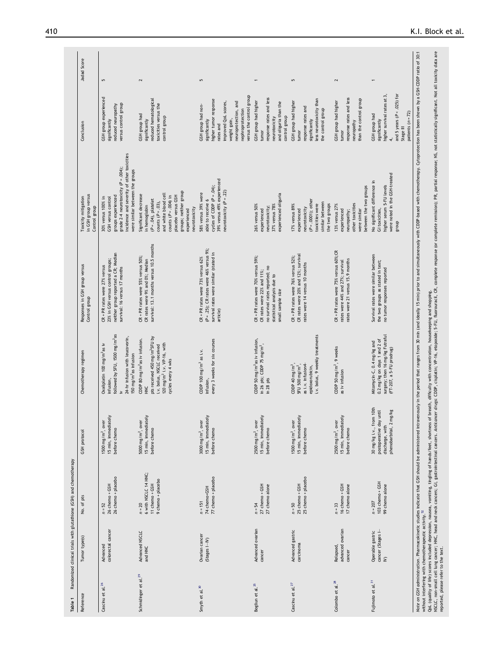<span id="page-3-0"></span>

| Table 1                             |                                                           | Randomized clinical trials with glutathione (GSH) and chemotherapy                                                                                                                                          |                                                                                                  |                                                                                                                                                                                           |                                                                                                                                                                                                                                                                                                                                                                                                                                                                     |                                                                                                                                                                                                                             |                                                                                                                                                                                           |                |
|-------------------------------------|-----------------------------------------------------------|-------------------------------------------------------------------------------------------------------------------------------------------------------------------------------------------------------------|--------------------------------------------------------------------------------------------------|-------------------------------------------------------------------------------------------------------------------------------------------------------------------------------------------|---------------------------------------------------------------------------------------------------------------------------------------------------------------------------------------------------------------------------------------------------------------------------------------------------------------------------------------------------------------------------------------------------------------------------------------------------------------------|-----------------------------------------------------------------------------------------------------------------------------------------------------------------------------------------------------------------------------|-------------------------------------------------------------------------------------------------------------------------------------------------------------------------------------------|----------------|
| Reference                           | Tumor type(s)                                             | pts<br>No.of                                                                                                                                                                                                | GSH protocol                                                                                     | Chemotherapy regimen                                                                                                                                                                      | Responses in GSH group versus<br>Control group                                                                                                                                                                                                                                                                                                                                                                                                                      | in GSH group versus<br>Toxicity mitigation<br>Control group                                                                                                                                                                 | Conclusion                                                                                                                                                                                | Jadad Score    |
| Cascinu et al. <sup>26</sup>        | Advanced<br>colorectal cancer                             | 26 chemo + placebo<br>$n = 52$<br>26 chemo + GSH                                                                                                                                                            | 15 min, immediately<br>1500 mg/m <sup>2</sup> , over<br>before chemo                             | followed by 5FU, 1500 mg/m <sup>2</sup> as<br>24-hr infusion with leucovorin,<br>Oxaliplatin 100 mg/m <sup>2</sup> as iv<br>150 mg/m <sup>2</sup> as infusion<br>infusion<br>$\geq$       | neither group reported a CR; Median<br>23% in GSH versus control groups;<br>CR + PR rates were 27% versus<br>survival: 16 versus 17 months                                                                                                                                                                                                                                                                                                                          | incidence and severity of other toxicities<br>grade 2-4 neurotoxicity ( $P = .004$ );<br>were similar between the groups<br>groups experienced<br>30% versus 100% in<br>GSH versus control                                  | GSH group experienced<br>versus control group<br>reduced neuropathy<br>significantly                                                                                                      | in.            |
| Schmidinger et al. <sup>29</sup>    | Advanced NSCLC<br>and HNC                                 | 6 with NSCLC 14 HNC;<br>9 chemo + placebo<br>$11$ chemo + GSH<br>$n = 20$                                                                                                                                   | 15 min, immediately<br>before chemo<br>5000 mg/m <sup>2</sup> , over                             | pts received 450 mg/m <sup>2</sup> 5FU by<br>CDDP 80 mg/m <sup>2</sup> as iv infusion.<br>120 mg/m <sup>2</sup> i.v. VP-16, with<br>i.v. bolus, NSCLC received<br>cycles every 4 wks<br>¥ | survival: 13.1 months versus 10.5 months<br>CR + PR rates were 55% versus 50%;<br>CR rates were 9% and 0%; Median                                                                                                                                                                                                                                                                                                                                                   | groups; neither group<br>and white blood cell<br>Significant decrease<br>placebo versus GSH<br>counts ( $P = .004$ ) in<br>$(P = .04)$ , platelet<br>counts ( $P = .03$ ),<br>in hemoglobin<br>neurotoxicity<br>experienced | reduced hematological<br>toxicities versus the<br>GSH group had<br>control group<br>significantly                                                                                         | $\sim$         |
| Smyth et al. <sup>30</sup>          | Ovarian cancer<br>(Stages I-IV)                           | 74 chemo+GSH<br>77 chemo + placebo<br>$n = 151$                                                                                                                                                             | 15 min, immediately<br>before chemo<br>3000 mg/m <sup>2</sup> , over                             | every 3 weeks for six courses<br>CDDP 100 $mg/m^2$ as i.v.<br>infusion                                                                                                                    | $(P = .25)$ ; CR rates were 46% versus 9%;<br>survival rates were similar (stated in<br>CR + PR rates were 73% versus 62%<br>article)                                                                                                                                                                                                                                                                                                                               | 39% versus 49% experienced<br>cycles of CDDP $(P = .04)$ ;<br>neurotoxicity ( $P = .22$ )<br>58% versus 39% were<br>able to receive 6                                                                                       | versus the control group<br>higher tumor response<br>neuroprotection, and<br>improved QoL scores,<br>GSH group had non-<br>nephroprotection<br>significantly<br>weight gain,<br>rates and | 5              |
| Bogliun et al. <sup>25</sup>        | Advanced ovarian<br>cancer                                | 27 chemo + GSH<br>27 chemo alone<br>$n = 54$                                                                                                                                                                | 15 min, immediately<br>before chemo<br>$2500$ mg/m <sup>2</sup> , over                           | CDDP 50 mg/m <sup>2</sup> as iv infusion,<br>in 26 pts; CDDP 75 mg/m <sup>2</sup> ,<br>pts<br>in 28                                                                                       | CR + PR rates were 70% versus 59%;<br>no survival rates reported; no<br>CR rates were 22% and 11%;<br>statistical analysis due to<br>small sample size                                                                                                                                                                                                                                                                                                              | experienced oliguria<br>37% versus 78%<br>26% versus 50%<br>neurotoxicity;<br>experienced                                                                                                                                   | response rates and less<br>GSH group had higher<br>and oliguria than the<br>neurotoxicity<br>control group<br>tumor                                                                       |                |
| Cascinu et al. <sup>27</sup>        | Advanced gastric<br>carcinoma                             | 25 chemo + GSH<br>25 chemo + placebo<br>$n=50$                                                                                                                                                              | 15 min, immediately<br>1500 mg/m <sup>2</sup> , over<br>before chemo                             | i.v. bolus, 9 weekly treatments<br>as i.v. infusion4-<br>5FU 500 mg/m <sup>2</sup> ,<br>CDDP 40 mg/ $m2$<br>epidoxorubicin,                                                               | CR rates were 20% and 12%; survival<br>CR + PR rates were 76% versus 52%;<br>rates were 14 versus 10 months                                                                                                                                                                                                                                                                                                                                                         | $(P = .0001)$ ; other<br>similar between<br>toxicities were<br>the two groups<br>17% versus 89%<br>neurotoxicity<br>experienced                                                                                             | less neurotoxicity than<br>GSH group had higher<br>response rates and<br>the control group<br>significantly<br>tumor                                                                      | $\overline{5}$ |
| Colombo et al. <sup>28</sup>        | advanced ovarian<br>cancer<br><b>Relapsed</b>             | 16 chemo + GSH<br>17 chemo alone<br>$n = 33$                                                                                                                                                                | 15 min, immediately<br>before chemo<br>$2500$ mg/m <sup>2</sup> , over                           | CDDP 50 mg/m <sup>2</sup> , 9 weeks<br>as iv infusion                                                                                                                                     | CR + PR rates were 75% versus 60%; CR<br>rates were 21 versus 15.9 months<br>rates were 44% and 27%; survival                                                                                                                                                                                                                                                                                                                                                       | between the two groups<br>other toxicities<br>13% versus 27%<br>experienced<br>were similar<br>neuropathy;                                                                                                                  | response rates and less<br>than the control group<br>GSH group had higher<br>neuropathy<br>tumor                                                                                          | $\sim$         |
| Fujimoto et al. <sup>31</sup>       | cancer (Stages I-<br>Operable gastric<br>$\widehat{\geq}$ | 103 chemo + GSH<br>99 chemo alone<br>$n = 207$                                                                                                                                                              | 30 mg/kg i.v., from 10th<br>phenobarbital, 2 mg/kg<br>postoperative day until<br>discharge, with | surgery; then 16 mg/kg Futraful<br>0.2 mg/kg on days 1 and 2 of<br>Mitomycin-C, 0.4 mg/kg and<br>(FT-207, a 5-FU prodrug)                                                                 | Survival rates were similar between<br>the two groups as stated in text;<br>no tumor responses reported                                                                                                                                                                                                                                                                                                                                                             | were noted in the GSH-treated<br>No significant difference in<br>higher serum 5-FU levels<br>GI toxicities,<br>dno.fa                                                                                                       | and 5 years $(P < .025)$ for<br>higher survival rates at 3,<br>patients $(n = 72)$<br>GSH group had<br>significantly<br>Stage III<br>4,                                                   |                |
| reported, please refer to the text. |                                                           | QoL (quality of life) scores included depression, nausea, vomiting, tingling of hands/feet, shortness<br>NSCLC, non-small cell lung cancer; HNC, head and neck cancers; GI, gastrointestinal cancers. Antic |                                                                                                  |                                                                                                                                                                                           | of breath, difficulty with concentration, housekeeping and shopping.<br>oncer drugs: CDDP, cisplatin; VP-16, etoposide; 5-FU, fluorouracil, CR, complete response permission); PR, partial response; NS, not statistically signif<br>Aote on GSH administration. Pharmackinetic studies indicate that GSH should be administered interaction the period that ranges from 30 min (and ideally 15 min) prior to and simultaneously with CDDP-based with chemotherapy. |                                                                                                                                                                                                                             |                                                                                                                                                                                           |                |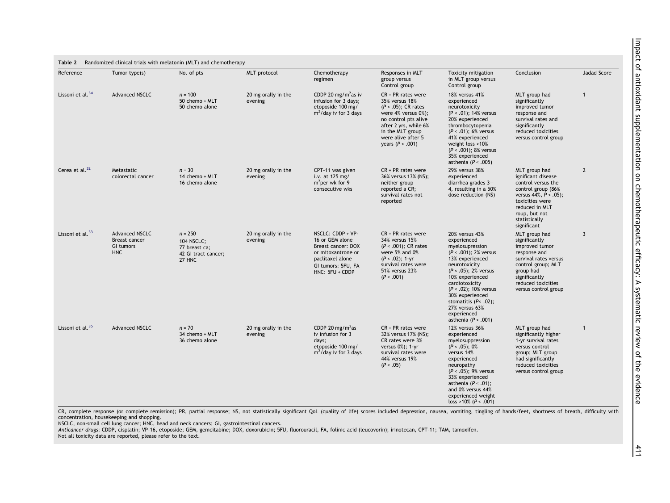<span id="page-4-0"></span>

| Reference                    | Tumor type(s)                                                                   | No. of pts                                                                       | <b>MLT</b> protocol            | Chemotherapy<br>regimen                                                                                                                       | Responses in MLT<br>group versus<br>Control group                                                                                                                                                              | <b>Toxicity mitigation</b><br>in MLT group versus<br>Control group                                                                                                                                                                                                                                                     | Conclusion                                                                                                                                                                                        | Jadad Score    |
|------------------------------|---------------------------------------------------------------------------------|----------------------------------------------------------------------------------|--------------------------------|-----------------------------------------------------------------------------------------------------------------------------------------------|----------------------------------------------------------------------------------------------------------------------------------------------------------------------------------------------------------------|------------------------------------------------------------------------------------------------------------------------------------------------------------------------------------------------------------------------------------------------------------------------------------------------------------------------|---------------------------------------------------------------------------------------------------------------------------------------------------------------------------------------------------|----------------|
| Lissoni et al. <sup>34</sup> | <b>Advanced NSCLC</b>                                                           | $n = 100$<br>50 chemo + MLT<br>50 chemo alone                                    | 20 mg orally in the<br>evening | CDDP 20 mg/m <sup>2</sup> as iv<br>infusion for 3 days;<br>etoposide 100 mg/<br>$m2/day$ iv for 3 days                                        | $CR + PR$ rates were<br>35% versus 18%<br>$(P < .05)$ ; CR rates<br>were $4%$ versus $0%$ ;<br>no control pts alive<br>after 2 yrs, while 6%<br>in the MLT group<br>were alive after 5<br>years ( $P < .001$ ) | 18% versus 41%<br>experienced<br>neurotoxicity<br>(P < .01); 14% versus<br>20% experienced<br>thrombocytopenia<br>$(P < .01)$ ; 6% versus<br>41% experienced<br>weight loss >10%<br>$(P < .001)$ ; 8% versus<br>35% experienced<br>asthenia ( $P < .005$ )                                                             | MLT group had<br>significantly<br>improved tumor<br>response and<br>survival rates and<br>significantly<br>reduced toxicities<br>versus control group                                             | $\mathbf{1}$   |
| Cerea et al. <sup>32</sup>   | Metastatic<br>colorectal cancer                                                 | $n = 30$<br>14 chemo + MLT<br>16 chemo alone                                     | 20 mg orally in the<br>evening | CPT-11 was given<br>i.v. at 125 mg/<br>$m2$ per wk for 9<br>consecutive wks                                                                   | $CR + PR$ rates were<br>36% versus 13% (NS);<br>neither group<br>reported a CR;<br>survival rates not<br>reported                                                                                              | 29% versus 38%<br>experienced<br>diarrhea grades 3-<br>4, resulting in a 50%<br>dose reduction (NS)                                                                                                                                                                                                                    | MLT group had<br>ignificant disease<br>control versus the<br>control group (86%<br>versus 44%, $P < .05$ );<br>toxicities were<br>reduced in MLT<br>roup, but not<br>statistically<br>significant | $\overline{2}$ |
| Lissoni et al. <sup>33</sup> | <b>Advanced NSCLC</b><br><b>Breast cancer</b><br><b>GI tumors</b><br><b>HNC</b> | $n = 250$<br><b>104 NSCLC;</b><br>77 breast ca;<br>42 GI tract cancer;<br>27 HNC | 20 mg orally in the<br>evening | NSCLC: CDDP + VP-<br>16 or GEM alone<br>Breast cancer: DOX<br>or mitoxantrone or<br>paclitaxel alone<br>GI tumors: 5FU, FA<br>HNC: 5FU + CDDP | $CR + PR$ rates were<br>34% versus 15%<br>$(P < .001)$ ; CR rates<br>were 5% and 0%<br>$(P < .02)$ ; 1-yr<br>survival rates were<br>51% versus 23%<br>(P < .001)                                               | 20% versus 43%<br>experienced<br>myelosupression<br>$(P < .001)$ ; 2% versus<br>13% experienced<br>neurotoxicity<br>$(P < .05)$ ; 2% versus<br>10% experienced<br>cardiotoxicity<br>$(P < .02)$ ; 10% versus<br>30% experienced<br>stomatitis $(P< .02)$ ;<br>27% versus 63%<br>experienced<br>asthenia ( $P < .001$ ) | MLT group had<br>significantly<br>improved tumor<br>response and<br>survival rates versus<br>control group; MLT<br>group had<br>significantly<br>reduced toxicities<br>versus control group       | $\overline{3}$ |
| Lissoni et al. <sup>35</sup> | <b>Advanced NSCLC</b>                                                           | $n = 70$<br>34 chemo + MLT<br>36 chemo alone                                     | 20 mg orally in the<br>evening | CDDP 20 $mg/m2$ as<br>iv infusion for 3<br>days;<br>etoposide 100 mg/<br>$m2/day$ iv for 3 days                                               | $CR + PR$ rates were<br>32% versus 17% (NS);<br>CR rates were 3%<br>versus $0\%$ ); 1-yr<br>survival rates were<br>44% versus 19%<br>(P < .05)                                                                 | 12% versus 36%<br>experienced<br>myelosuppression<br>$(P < .05)$ ; 0%<br>versus 14%<br>experienced<br>neuropathy<br>$(P < .05)$ ; 9% versus<br>33% experienced<br>asthenia $(P < .01)$ ;<br>and 0% versus 44%<br>experienced weight<br>$loss > 10\% (P < .001)$                                                        | MLT group had<br>significantly higher<br>1-yr survival rates<br>versus control<br>group; MLT group<br>had significantly<br>reduced toxicities<br>versus control group                             | $\mathbf{1}$   |

CR, complete response (or complete remission); PR, partial response; NS, not statistically significant QoL (quality of life) scores included depression, nausea, vomiting, tingling of hands/feet, shortness of breath, diffic concentration, housekeeping and shopping. NSCLC, non-small cell lung cancer; HNC, head and neck cancers; GI, gastrointestinal cancers.

Anticancer drugs: CDDP, cisplatin; VP-16, etoposide; GEM, gemcitabine; DOX, doxorubicin; 5FU, fluorouracil, FA, folinic acid (leucovorin); irinotecan, CPT-11; TAM, tamoxifen.

Not all toxicity data are reported, please refer to the text.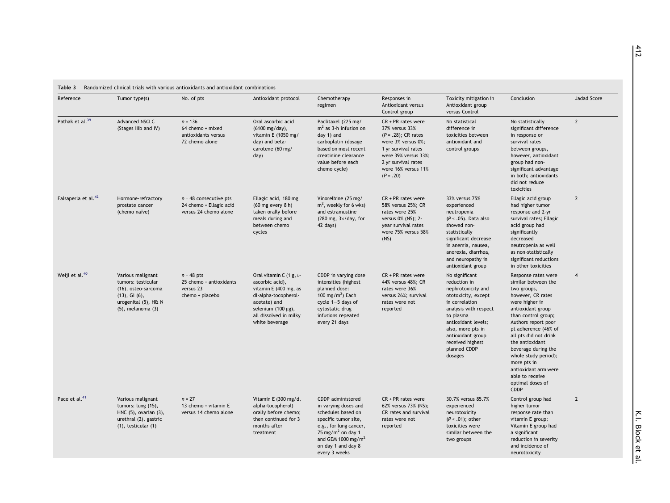<span id="page-5-0"></span>

| Reference                       | Tumor type(s)                                                                                                                           | No. of pts                                                                   | Antioxidant protocol                                                                                                                                                                | Chemotherapy<br>regimen                                                                                                                                                                                                     | Responses in<br>Antioxidant versus<br>Control group                                                                                                                                                | Toxicity mitigation in<br>Antioxidant group<br>versus Control                                                                                                                                                                                       | Conclusion                                                                                                                                                                                                                                                                                                                                                                   | Jadad Score    |
|---------------------------------|-----------------------------------------------------------------------------------------------------------------------------------------|------------------------------------------------------------------------------|-------------------------------------------------------------------------------------------------------------------------------------------------------------------------------------|-----------------------------------------------------------------------------------------------------------------------------------------------------------------------------------------------------------------------------|----------------------------------------------------------------------------------------------------------------------------------------------------------------------------------------------------|-----------------------------------------------------------------------------------------------------------------------------------------------------------------------------------------------------------------------------------------------------|------------------------------------------------------------------------------------------------------------------------------------------------------------------------------------------------------------------------------------------------------------------------------------------------------------------------------------------------------------------------------|----------------|
| Pathak et al. <sup>39</sup>     | Advanced NSCLC<br>(Stages IIIb and IV)                                                                                                  | $n = 136$<br>64 chemo + mixed<br>antioxidants versus<br>72 chemo alone       | Oral ascorbic acid<br>$(6100 \text{ mg/day})$ ,<br>vitamin E (1050 mg/<br>day) and beta-<br>carotene (60 mg/<br>day)                                                                | Paclitaxel (225 mg/<br>$m2$ as 3-h infusion on<br>day 1) and<br>carboplatin (dosage<br>based on most recent<br>creatinine clearance<br>value before each<br>chemo cycle)                                                    | $CR + PR$ rates were<br>37% versus 33%<br>$(P = .28)$ ; CR rates<br>were 3% versus 0%;<br>1 yr survival rates<br>were 39% versus 33%;<br>2 yr survival rates<br>were 16% versus 11%<br>$(P = .20)$ | No statistical<br>difference in<br>toxicities between<br>antioxidant and<br>control groups                                                                                                                                                          | No statistically<br>significant difference<br>in response or<br>survival rates<br>between groups,<br>however, antioxidant<br>group had non-<br>significant advantage<br>in both; antioxidants<br>did not reduce<br>toxicities                                                                                                                                                | $\overline{2}$ |
| Falsaperla et al. <sup>42</sup> | Hormone-refractory<br>prostate cancer<br>(chemo naïve)                                                                                  | $n = 48$ consecutive pts<br>24 chemo + Ellagic acid<br>versus 24 chemo alone | Ellagic acid, 180 mg<br>$(60 \text{ mg every } 8 \text{ h})$<br>taken orally before<br>meals during and<br>between chemo<br>cycles                                                  | Vinorelbine (25 mg/<br>$m2$ , weekly for 6 wks)<br>and estramustine<br>(280 mg, $3\times$ /day, for<br>$42 \text{ days}$                                                                                                    | $CR$ + PR rates were<br>58% versus 25%; CR<br>rates were 25%<br>versus 0% (NS); 2-<br>year survival rates<br>were 75% versus 58%<br>(NS)                                                           | 33% versus 75%<br>experienced<br>neutropenia<br>$(P < .05)$ . Data also<br>showed non-<br>statistically<br>significant decrease<br>in anemia, nausea,<br>anorexia, diarrhea,<br>and neuropathy in<br>antioxidant group                              | Ellagic acid group<br>had higher tumor<br>response and 2-yr<br>survival rates; Ellagic<br>acid group had<br>significantly<br>decreased<br>neutropenia as well<br>as non-statistically<br>significant reductions<br>in other toxicities                                                                                                                                       | $\overline{2}$ |
| Weijl et al. <sup>40</sup>      | Various malignant<br>tumors: testicular<br>(16), osteo-sarcoma<br>$(13)$ , GI $(6)$ ,<br>urogenital (5), H& N<br>$(5)$ , melanoma $(3)$ | $n = 48$ pts<br>25 chemo + antioxidants<br>versus 23<br>chemo + placebo      | Oral vitamin C (1 g, L-<br>ascorbic acid),<br>vitamin E (400 mg, as<br>dl-alpha-tocopherol-<br>acetate) and<br>selenium $(100 \mu g)$ ,<br>all dissolved in milky<br>white beverage | CDDP in varying dose<br>intensities (highest<br>planned dose:<br>100 mg/m <sup>2</sup> ) Each<br>cycle 1-5 days of<br>cytostatic drug<br>infusions repeated<br>every 21 days                                                | $CR + PR$ rates were<br>44% versus 48%; CR<br>rates were 36%<br>versus 26%; survival<br>rates were not<br>reported                                                                                 | No significant<br>reduction in<br>nephrotoxicity and<br>ototoxicity, except<br>in correlation<br>analysis with respect<br>to plasma<br>antioxidant levels;<br>also, more pts in<br>antioxidant group<br>received highest<br>planned CDDP<br>dosages | Response rates were<br>similar between the<br>two groups,<br>however, CR rates<br>were higher in<br>antioxidant group<br>than control group;<br>Authors report poor<br>pt adherence (46% of<br>all pts did not drink<br>the antioxidant<br>beverage during the<br>whole study period);<br>more pts in<br>antioxidant arm were<br>able to receive<br>optimal doses of<br>CDDP | $\overline{4}$ |
| Pace et al. <sup>41</sup>       | Various malignant<br>tumors: lung (15),<br>HNC $(5)$ , ovarian $(3)$ ,<br>urethral (2), gastric<br>$(1)$ , testicular $(1)$             | $n = 27$<br>13 chemo + vitamin E<br>versus 14 chemo alone                    | Vitamin E (300 mg/d,<br>alpha-tocopherol)<br>orally before chemo;<br>then continued for 3<br>months after<br>treatment                                                              | CDDP administered<br>in varying doses and<br>schedules based on<br>specific tumor site,<br>e.g., for lung cancer,<br>75 mg/m <sup>2</sup> on day 1<br>and GEM 1000 mg/m <sup>2</sup><br>on day 1 and day 8<br>every 3 weeks | $CR + PR$ rates were<br>62% versus 73% (NS);<br>CR rates and survival<br>rates were not<br>reported                                                                                                | 30.7% versus 85.7%<br>experienced<br>neurotoxicity<br>$(P < .01)$ ; other<br>toxicities were<br>similar between the<br>two groups                                                                                                                   | Control group had<br>higher tumor<br>response rate than<br>vitamin E group;<br>Vitamin E group had<br>a significant<br>reduction in severity<br>and incidence of<br>neurotoxicity                                                                                                                                                                                            | $\overline{2}$ |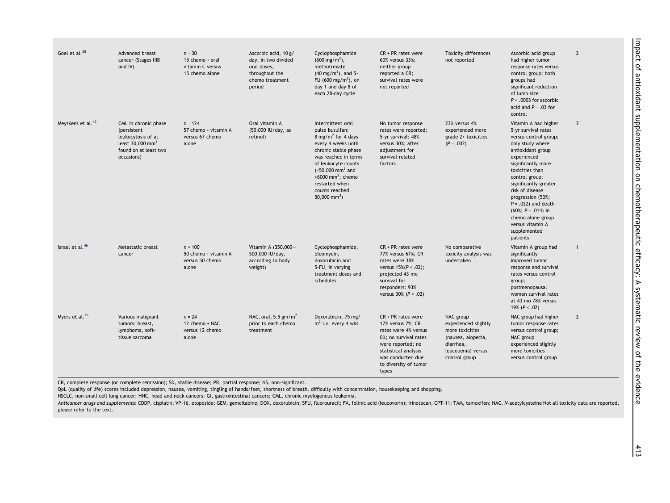| Goel et al. <sup>38</sup>     | Advanced breast<br>cancer (Stages IIIB<br>and IV)                                                                                  | $n = 30$<br>15 chemo + oral<br>vitamin C versus<br>15 chemo alone | Ascorbic acid, 10 g/<br>day, in two divided<br>oral doses,<br>throughout the<br>chemo treatment<br>period | Cyclophosphamide<br>$(600 \text{ mg/m}^2)$ ,<br>methotrexate<br>$(40 \text{ mg/m}^2)$ , and 5-<br>FU (600 mg/m <sup>2</sup> ), on<br>day 1 and day 8 of<br>each 28-day cycle                                                                                                                               | $CR + PR$ rates were<br>60% versus 33%;<br>neither group<br>reported a CR;<br>survival rates were<br>not reported                                                                              | <b>Toxicity differences</b><br>not reported                                                                                    | Ascorbic acid group<br>had higher tumor<br>response rates versus<br>control group; both<br>groups had<br>significant reduction<br>of lump size<br>$P = 0.0003$ for ascorbic<br>acid and $P = .03$ for<br>control                                                                                                                                                               | $\overline{2}$ |
|-------------------------------|------------------------------------------------------------------------------------------------------------------------------------|-------------------------------------------------------------------|-----------------------------------------------------------------------------------------------------------|------------------------------------------------------------------------------------------------------------------------------------------------------------------------------------------------------------------------------------------------------------------------------------------------------------|------------------------------------------------------------------------------------------------------------------------------------------------------------------------------------------------|--------------------------------------------------------------------------------------------------------------------------------|--------------------------------------------------------------------------------------------------------------------------------------------------------------------------------------------------------------------------------------------------------------------------------------------------------------------------------------------------------------------------------|----------------|
| Meyskens et al. <sup>45</sup> | CML in chronic phase<br>(persistent<br>leukocytosis of at<br>least $30,000$ mm <sup>3</sup><br>found on at least two<br>occasions) | $n = 124$<br>57 chemo + vitamin A<br>versus 67 chemo<br>alone     | Oral vitamin A<br>(50,000 IU/day, as<br>retinol)                                                          | Intermittent oral<br>pulse busulfan:<br>$8 \,\mathrm{mg/m^2}$ for 4 days<br>every 4 weeks until<br>chronic stable phase<br>was reached in terms<br>of leukocyte counts<br>$(50,000$ mm <sup>3</sup> and<br>$>6000$ mm <sup>3</sup> ; chemo<br>restarted when<br>counts reached<br>50,000 mm <sup>3</sup> ) | No tumor response<br>rates were reported;<br>5-yr survival: 48%<br>versus 30%; after<br>adjustment for<br>survival-related<br>factors                                                          | 23% versus 4%<br>experienced more<br>grade 2+ toxicities<br>$(P = .002)$                                                       | Vitamin A had higher<br>5-yr survival rates<br>versus control group;<br>only study where<br>antioxidant group<br>experienced<br>significantly more<br>toxicities than<br>control group;<br>significantly greater<br>risk of disease<br>progression (53%;<br>$P = .022$ ) and death<br>$(60\%; P=.014)$ in<br>chemo alone group<br>versus vitamin A<br>supplemented<br>patients | $\overline{2}$ |
| Israel et al. <sup>46</sup>   | Metastatic breast<br>cancer                                                                                                        | $n = 100$<br>50 chemo + vitamin A<br>versus 50 chemo<br>alone     | Vitamin A (350,000-<br>500,000 IU/day,<br>according to body<br>weight)                                    | Cyclophosphamide,<br>bleomycin,<br>doxorubicin and<br>5-FU, in varying<br>treatment doses and<br>schedules                                                                                                                                                                                                 | $CR + PR$ rates were<br>77% versus 67%; CR<br>rates were 38%<br>versus $15\% (P < .02)$ ;<br>projected 43 mo<br>survival for<br>responders: 93%<br>versus $30\%$ (P < .02)                     | No comparative<br>toxicity analysis was<br>undertaken                                                                          | Vitamin A group had<br>significantly<br>improved tumor<br>response and survival<br>rates versus control<br>group;<br>postmenopausal<br>women survival rates<br>at 43 mo 78% versus<br>19% $(P < .02)$                                                                                                                                                                          | $\overline{1}$ |
| Mvers et al. <sup>36</sup>    | Various malignant<br>tumors: breast,<br>lymphoma, soft-<br>tissue sarcoma                                                          | $n = 24$<br>12 chemo + NAC<br>versus 12 chemo<br>alone            | NAC, oral, 5.5 gm/m <sup>2</sup><br>prior to each chemo<br>treatment                                      | Doxorubicin, 75 mg/<br>$m2$ i.v. every 4 wks                                                                                                                                                                                                                                                               | $CR + PR$ rates were<br>17% versus 7%; CR<br>rates were 4% versus<br>0%; no survival rates<br>were reported; no<br>statistical analysis<br>was conducted due<br>to diversity of tumor<br>types | NAC group<br>experienced slightly<br>more toxicities<br>(nausea, alopecia,<br>diarrhea,<br>leucopenia) versus<br>control group | NAC group had higher<br>tumor response rates<br>versus control group;<br>NAC group<br>experienced slightly<br>more toxicities<br>versus control group                                                                                                                                                                                                                          | $\overline{2}$ |

CR, complete response (or complete remission); SD, stable disease; PR, partial response; NS, non-significant.

QoL (quality of life) scores included depression, nausea, vomiting, tingling of hands/feet, shortness of breath, difficulty with concentration, housekeeping and shopping.

NSCLC, non-small cell lung cancer; HNC, head and neck cancers; GI, gastrointestinal cancers; CML, chronic myelogenous leukemia.

Anticancer drugs and supplements: CDDP, cisplatin; VP-16, etoposide; GEM, gemcitabine; DOX, doxorubicin; SFU, fluorouracil; FA, folinic acid (leucovorin); irinotecan, CPT-11; TAM, tamoxifen; NAC, N-acetylcysteine Not all t please refer to the text.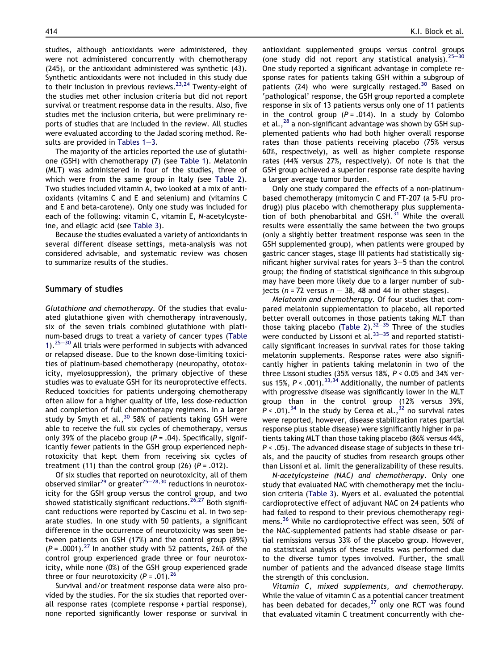studies, although antioxidants were administered, they were not administered concurrently with chemotherapy (245), or the antioxidant administered was synthetic (43). Synthetic antioxidants were not included in this study due to their inclusion in previous reviews.<sup>[23,24](#page-10-0)</sup> Twenty-eight of the studies met other inclusion criteria but did not report survival or treatment response data in the results. Also, five studies met the inclusion criteria, but were preliminary reports of studies that are included in the review. All studies were evaluated according to the Jadad scoring method. Results are provided in [Tables 1–3](#page-3-0).

The majority of the articles reported the use of glutathione (GSH) with chemotherapy (7) (see [Table 1\)](#page-3-0). Melatonin (MLT) was administered in four of the studies, three of which were from the same group in Italy (see [Table 2](#page-4-0)). Two studies included vitamin A, two looked at a mix of antioxidants (vitamins C and E and selenium) and (vitamins C and E and beta-carotene). Only one study was included for each of the following: vitamin C, vitamin E, N-acetylcysteine, and ellagic acid (see [Table 3](#page-5-0)).

Because the studies evaluated a variety of antioxidants in several different disease settings, meta-analysis was not considered advisable, and systematic review was chosen to summarize results of the studies.

#### Summary of studies

Glutathione and chemotherapy. Of the studies that evaluated glutathione given with chemotherapy intravenously, six of the seven trials combined glutathione with platinum-based drugs to treat a variety of cancer types ([Table](#page-3-0)  $1$ ).<sup>[25–30](#page-10-0)</sup> All trials were performed in subjects with advanced or relapsed disease. Due to the known dose-limiting toxicities of platinum-based chemotherapy (neuropathy, ototoxicity, myelosuppression), the primary objective of these studies was to evaluate GSH for its neuroprotective effects. Reduced toxicities for patients undergoing chemotherapy often allow for a higher quality of life, less dose-reduction and completion of full chemotherapy regimens. In a larger study by Smyth et al.,  $30\,$  $30\,$  58% of patients taking GSH were able to receive the full six cycles of chemotherapy, versus only 39% of the placebo group ( $P = .04$ ). Specifically, significantly fewer patients in the GSH group experienced nephrotoxicity that kept them from receiving six cycles of treatment (11) than the control group (26)  $(P = .012)$ .

Of six studies that reported on neurotoxicity, all of them observed similar<sup>[29](#page-10-0)</sup> or greater<sup>[25–28,30](#page-10-0)</sup> reductions in neurotoxicity for the GSH group versus the control group, and two showed statistically significant reductions.<sup>26,27</sup> Both significant reductions were reported by Cascinu et al. in two separate studies. In one study with 50 patients, a significant difference in the occurrence of neurotoxicity was seen between patients on GSH (17%) and the control group (89%)  $(P = .0001).^{27}$  $(P = .0001).^{27}$  $(P = .0001).^{27}$  In another study with 52 patients, 26% of the control group experienced grade three or four neurotoxicity, while none (0%) of the GSH group experienced grade three or four neurotoxicity  $(P = .01).^{26}$  $(P = .01).^{26}$  $(P = .01).^{26}$ 

Survival and/or treatment response data were also provided by the studies. For the six studies that reported overall response rates (complete response + partial response), none reported significantly lower response or survival in antioxidant supplemented groups versus control groups (one study did not report any statistical analysis). $25-30$ One study reported a significant advantage in complete response rates for patients taking GSH within a subgroup of patients (24) who were surgically restaged.[30](#page-10-0) Based on 'pathological' response, the GSH group reported a complete response in six of 13 patients versus only one of 11 patients in the control group  $(P = .014)$ . In a study by Colombo et al., $^{28}$  $^{28}$  $^{28}$  a non-significant advantage was shown by GSH supplemented patients who had both higher overall response rates than those patients receiving placebo (75% versus 60%, respectively), as well as higher complete response rates (44% versus 27%, respectively). Of note is that the GSH group achieved a superior response rate despite having a larger average tumor burden.

Only one study compared the effects of a non-platinumbased chemotherapy (mitomycin C and FT-207 (a 5-FU prodrug)) plus placebo with chemotherapy plus supplementation of both phenobarbital and  $GSH.<sup>31</sup>$  $GSH.<sup>31</sup>$  $GSH.<sup>31</sup>$  While the overall results were essentially the same between the two groups (only a slightly better treatment response was seen in the GSH supplemented group), when patients were grouped by gastric cancer stages, stage III patients had statistically significant higher survival rates for years 3–5 than the control group; the finding of statistical significance in this subgroup may have been more likely due to a larger number of subjects ( $n = 72$  versus  $n - 38$ , 48 and 44 in other stages).

Melatonin and chemotherapy. Of four studies that compared melatonin supplementation to placebo, all reported better overall outcomes in those patients taking MLT than those taking placebo [\(Table 2](#page-4-0)).  $32-35$  Three of the studies were conducted by Lissoni et  $aL^{33-35}$  and reported statistically significant increases in survival rates for those taking melatonin supplements. Response rates were also significantly higher in patients taking melatonin in two of the three Lissoni studies (35% versus 18%, P < 0.05 and 34% versus 15%,  $P < .001$ ).<sup>[33,34](#page-10-0)</sup> Additionally, the number of patients with progressive disease was significantly lower in the MLT group than in the control group (12% versus 39%,  $P < .01$ ).<sup>[34](#page-10-0)</sup> In the study by Cerea et al.,  $32$  no survival rates were reported, however, disease stabilization rates (partial response plus stable disease) were significantly higher in patients taking MLT than those taking placebo (86% versus 44%,  $P < .05$ ). The advanced disease stage of subjects in these trials, and the paucity of studies from research groups other than Lissoni et al. limit the generalizability of these results.

N-acetylcysteine (NAC) and chemotherapy. Only one study that evaluated NAC with chemotherapy met the inclusion criteria [\(Table 3](#page-5-0)). Myers et al. evaluated the potential cardioprotective effect of adjuvant NAC on 24 patients who had failed to respond to their previous chemotherapy regi-mens.<sup>[36](#page-10-0)</sup> While no cardioprotective effect was seen, 50% of the NAC-supplemented patients had stable disease or partial remissions versus 33% of the placebo group. However, no statistical analysis of these results was performed due to the diverse tumor types involved. Further, the small number of patients and the advanced disease stage limits the strength of this conclusion.

Vitamin C, mixed supplements, and chemotherapy. While the value of vitamin C as a potential cancer treatment has been debated for decades,  $37$  only one RCT was found that evaluated vitamin C treatment concurrently with che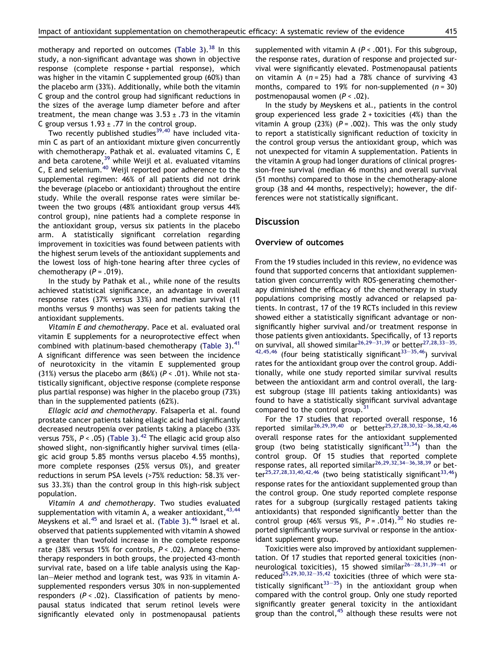motherapy and reported on outcomes ([Table 3\)](#page-5-0). $38$  In this study, a non-significant advantage was shown in objective response (complete response + partial response), which was higher in the vitamin C supplemented group (60%) than the placebo arm (33%). Additionally, while both the vitamin C group and the control group had significant reductions in the sizes of the average lump diameter before and after treatment, the mean change was  $3.53 \pm .73$  in the vitamin C group versus  $1.93 \pm .77$  in the control group.

Two recently published studies  $39,40$  have included vitamin C as part of an antioxidant mixture given concurrently with chemotherapy. Pathak et al. evaluated vitamins C, E and beta carotene,<sup>[39](#page-10-0)</sup> while Weijl et al. evaluated vitamins C, E and selenium.<sup>40</sup> Weijl reported poor adherence to the supplemental regimen: 46% of all patients did not drink the beverage (placebo or antioxidant) throughout the entire study. While the overall response rates were similar between the two groups (48% antioxidant group versus 44% control group), nine patients had a complete response in the antioxidant group, versus six patients in the placebo arm. A statistically significant correlation regarding improvement in toxicities was found between patients with the highest serum levels of the antioxidant supplements and the lowest loss of high-tone hearing after three cycles of chemotherapy  $(P = .019)$ .

In the study by Pathak et al., while none of the results achieved statistical significance, an advantage in overall response rates (37% versus 33%) and median survival (11 months versus 9 months) was seen for patients taking the antioxidant supplements.

Vitamin E and chemotherapy. Pace et al. evaluated oral vitamin E supplements for a neuroprotective effect when combined with platinum-based chemotherapy ([Table 3\)](#page-5-0). $41$ A significant difference was seen between the incidence of neurotoxicity in the vitamin E supplemented group (31%) versus the placebo arm (86%) ( $P < .01$ ). While not statistically significant, objective response (complete response plus partial response) was higher in the placebo group (73%) than in the supplemented patients (62%).

Ellagic acid and chemotherapy. Falsaperla et al. found prostate cancer patients taking ellagic acid had significantly decreased neutropenia over patients taking a placebo (33% versus 75%,  $P < .05$ ) [\(Table 3](#page-5-0)).<sup>[42](#page-10-0)</sup> The ellagic acid group also showed slight, non-significantly higher survival times (ellagic acid group 5.85 months versus placebo 4.55 months), more complete responses (25% versus 0%), and greater reductions in serum PSA levels (>75% reduction: 58.3% versus 33.3%) than the control group in this high-risk subject population.

Vitamin A and chemotherapy. Two studies evaluated supplementation with vitamin A, a weaker antioxidant,  $43,44$ Meyskens et al.<sup>[45](#page-11-0)</sup> and Israel et al. ([Table 3](#page-5-0)).<sup>[46](#page-11-0)</sup> Israel et al. observed that patients supplemented with vitamin A showed a greater than twofold increase in the complete response rate (38% versus 15% for controls,  $P < .02$ ). Among chemotherapy responders in both groups, the projected 43-month survival rate, based on a life table analysis using the Kaplan–Meier method and logrank test, was 93% in vitamin Asupplemented responders versus 30% in non-supplemented responders  $(P < .02)$ . Classification of patients by menopausal status indicated that serum retinol levels were significantly elevated only in postmenopausal patients supplemented with vitamin A ( $P < .001$ ). For this subgroup, the response rates, duration of response and projected survival were significantly elevated. Postmenopausal patients on vitamin A  $(n = 25)$  had a 78% chance of surviving 43 months, compared to 19% for non-supplemented  $(n = 30)$ postmenopausal women  $(P < .02)$ .

In the study by Meyskens et al., patients in the control group experienced less grade 2 + toxicities (4%) than the vitamin A group (23%) ( $P = .002$ ). This was the only study to report a statistically significant reduction of toxicity in the control group versus the antioxidant group, which was not unexpected for vitamin A supplementation. Patients in the vitamin A group had longer durations of clinical progression-free survival (median 46 months) and overall survival (51 months) compared to those in the chemotherapy-alone group (38 and 44 months, respectively); however, the differences were not statistically significant.

#### **Discussion**

#### Overview of outcomes

From the 19 studies included in this review, no evidence was found that supported concerns that antioxidant supplementation given concurrently with ROS-generating chemotherapy diminished the efficacy of the chemotherapy in study populations comprising mostly advanced or relapsed patients. In contrast, 17 of the 19 RCTs included in this review showed either a statistically significant advantage or nonsignificantly higher survival and/or treatment response in those patients given antioxidants. Specifically, of 13 reports on survival, all showed similar<sup>[26,29–31,39](#page-10-0)</sup> or better<sup>[27,28,33–35,](#page-10-0)</sup>  $42,45,46$  (four being statistically significant<sup>33-35,46</sup>) survival rates for the antioxidant group over the control group. Additionally, while one study reported similar survival results between the antioxidant arm and control overall, the largest subgroup (stage III patients taking antioxidants) was found to have a statistically significant survival advantage compared to the control group.<sup>[31](#page-10-0)</sup>

For the 17 studies that reported overall response, 16 reported similar[26,29,39,40](#page-10-0) or better[25,27,28,30,32–36,38,42,46](#page-10-0) overall response rates for the antioxidant supplemented group (two being statistically significant<sup>[33,34](#page-10-0)</sup>) than the control group. Of 15 studies that reported complete response rates, all reported similar<sup>26,29,32,34-36,38,39</sup> or bet-ter<sup>[25,27,28,33,40,42,46](#page-10-0)</sup> (two being statistically significant<sup>[33,46](#page-10-0)</sup>) response rates for the antioxidant supplemented group than the control group. One study reported complete response rates for a subgroup (surgically restaged patients taking antioxidants) that responded significantly better than the control group (46% versus 9%,  $P = .014$ ).<sup>[30](#page-10-0)</sup> No studies reported significantly worse survival or response in the antioxidant supplement group.

Toxicities were also improved by antioxidant supplementation. Of 17 studies that reported general toxicities (nonneurological toxicities), 15 showed similar<sup>26-28,31,39-41</sup> or reduced<sup>25,29,30,32-35,42</sup> toxicities (three of which were statistically significant $33-35$ ) in the antioxidant group when compared with the control group. Only one study reported significantly greater general toxicity in the antioxidant group than the control,<sup>[45](#page-11-0)</sup> although these results were not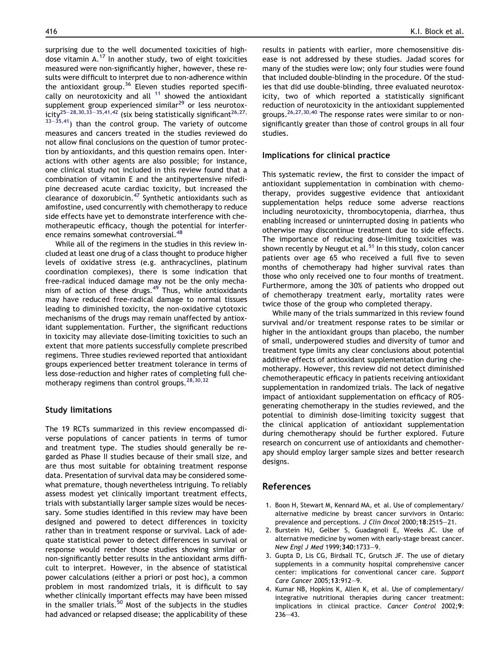<span id="page-9-0"></span>surprising due to the well documented toxicities of highdose vitamin  $A^{17}$  $A^{17}$  $A^{17}$  In another study, two of eight toxicities measured were non-significantly higher, however, these results were difficult to interpret due to non-adherence within the antioxidant group.<sup>[36](#page-10-0)</sup> Eleven studies reported specifically on neurotoxicity and all  $11$  showed the antioxidant supplement group experienced similar<sup>[29](#page-10-0)</sup> or less neurotoxicity $^{25-28,30,33-35,41,42}$  (six being statistically significant $^{26,27,4}$  $^{26,27,4}$  $^{26,27,4}$  $33-35,41$ ) than the control group. The variety of outcome measures and cancers treated in the studies reviewed do not allow final conclusions on the question of tumor protection by antioxidants, and this question remains open. Interactions with other agents are also possible; for instance, one clinical study not included in this review found that a combination of vitamin E and the antihypertensive nifedipine decreased acute cardiac toxicity, but increased the clearance of doxorubicin. $47$  Synthetic antioxidants such as amifostine, used concurrently with chemotherapy to reduce side effects have yet to demonstrate interference with chemotherapeutic efficacy, though the potential for interfer-ence remains somewhat controversial.<sup>[48](#page-11-0)</sup>

While all of the regimens in the studies in this review included at least one drug of a class thought to produce higher levels of oxidative stress (e.g. anthracyclines, platinum coordination complexes), there is some indication that free-radical induced damage may not be the only mecha-nism of action of these drugs.<sup>[49](#page-11-0)</sup> Thus, while antioxidants may have reduced free-radical damage to normal tissues leading to diminished toxicity, the non-oxidative cytotoxic mechanisms of the drugs may remain unaffected by antioxidant supplementation. Further, the significant reductions in toxicity may alleviate dose-limiting toxicities to such an extent that more patients successfully complete prescribed regimens. Three studies reviewed reported that antioxidant groups experienced better treatment tolerance in terms of less dose-reduction and higher rates of completing full chemotherapy regimens than control groups.[28,30,32](#page-10-0)

#### Study limitations

The 19 RCTs summarized in this review encompassed diverse populations of cancer patients in terms of tumor and treatment type. The studies should generally be regarded as Phase II studies because of their small size, and are thus most suitable for obtaining treatment response data. Presentation of survival data may be considered somewhat premature, though nevertheless intriguing. To reliably assess modest yet clinically important treatment effects, trials with substantially larger sample sizes would be necessary. Some studies identified in this review may have been designed and powered to detect differences in toxicity rather than in treatment response or survival. Lack of adequate statistical power to detect differences in survival or response would render those studies showing similar or non-significantly better results in the antioxidant arms difficult to interpret. However, in the absence of statistical power calculations (either a priori or post hoc), a common problem in most randomized trials, it is difficult to say whether clinically important effects may have been missed in the smaller trials.<sup>[50](#page-11-0)</sup> Most of the subjects in the studies had advanced or relapsed disease; the applicability of these results in patients with earlier, more chemosensitive disease is not addressed by these studies. Jadad scores for many of the studies were low; only four studies were found that included double-blinding in the procedure. Of the studies that did use double-blinding, three evaluated neurotoxicity, two of which reported a statistically significant reduction of neurotoxicity in the antioxidant supplemented groups.<sup>26,27,30,40</sup> The response rates were similar to or nonsignificantly greater than those of control groups in all four studies.

#### Implications for clinical practice

This systematic review, the first to consider the impact of antioxidant supplementation in combination with chemotherapy, provides suggestive evidence that antioxidant supplementation helps reduce some adverse reactions including neurotoxicity, thrombocytopenia, diarrhea, thus enabling increased or uninterrupted dosing in patients who otherwise may discontinue treatment due to side effects. The importance of reducing dose-limiting toxicities was shown recently by Neugut et al. $51$  In this study, colon cancer patients over age 65 who received a full five to seven months of chemotherapy had higher survival rates than those who only received one to four months of treatment. Furthermore, among the 30% of patients who dropped out of chemotherapy treatment early, mortality rates were twice those of the group who completed therapy.

While many of the trials summarized in this review found survival and/or treatment response rates to be similar or higher in the antioxidant groups than placebo, the number of small, underpowered studies and diversity of tumor and treatment type limits any clear conclusions about potential additive effects of antioxidant supplementation during chemotherapy. However, this review did not detect diminished chemotherapeutic efficacy in patients receiving antioxidant supplementation in randomized trials. The lack of negative impact of antioxidant supplementation on efficacy of ROSgenerating chemotherapy in the studies reviewed, and the potential to diminish dose-limiting toxicity suggest that the clinical application of antioxidant supplementation during chemotherapy should be further explored. Future research on concurrent use of antioxidants and chemotherapy should employ larger sample sizes and better research designs.

#### References

- 1. Boon H, Stewart M, Kennard MA, et al. Use of complementary/ alternative medicine by breast cancer survivors in Ontario: prevalence and perceptions. J Clin Oncol 2000;18:2515-21.
- 2. Burstein HJ, Gelber S, Guadagnoli E, Weeks JC. Use of alternative medicine by women with early-stage breast cancer. New Engl J Med 1999;340:1733–9.
- 3. Gupta D, Lis CG, Birdsall TC, Grutsch JF. The use of dietary supplements in a community hospital comprehensive cancer center: implications for conventional cancer care. Support Care Cancer 2005;13:912–9.
- 4. Kumar NB, Hopkins K, Allen K, et al. Use of complementary/ integrative nutritional therapies during cancer treatment: implications in clinical practice. Cancer Control 2002;9: 236–43.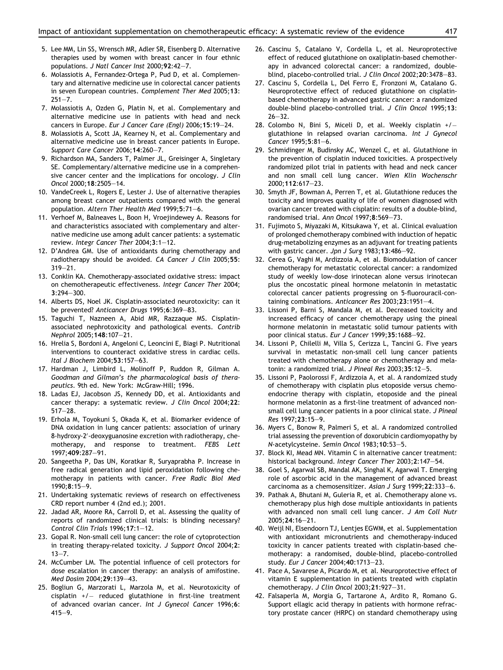- <span id="page-10-0"></span>5. Lee MM, Lin SS, Wrensch MR, Adler SR, Eisenberg D. Alternative therapies used by women with breast cancer in four ethnic populations. J Natl Cancer Inst 2000;92:42–7.
- 6. Molassiotis A, Fernandez-Ortega P, Pud D, et al. Complementary and alternative medicine use in colorectal cancer patients in seven European countries. Complement Ther Med 2005;13: 251–7.
- 7. Molassiotis A, Ozden G, Platin N, et al. Complementary and alternative medicine use in patients with head and neck cancers in Europe. Eur J Cancer Care (Engl) 2006;15:19–24.
- 8. Molassiotis A, Scott JA, Kearney N, et al. Complementary and alternative medicine use in breast cancer patients in Europe. Support Care Cancer 2006;14:260–7.
- 9. Richardson MA, Sanders T, Palmer JL, Greisinger A, Singletary SE. Complementary/alternative medicine use in a comprehensive cancer center and the implications for oncology. J Clin Oncol 2000;18:2505–14.
- 10. VandeCreek L, Rogers E, Lester J. Use of alternative therapies among breast cancer outpatients compared with the general population. Altern Ther Health Med 1999;5:71–6.
- 11. Verhoef M, Balneaves L, Boon H, Vroejindewey A. Reasons for and characteristics associated with complementary and alternative medicine use among adult cancer patients: a systematic review. Integr Cancer Ther 2004;3:1–12.
- 12. D'Andrea GM. Use of antioxidants during chemotherapy and radiotherapy should be avoided. CA Cancer J Clin 2005;55: 319–21.
- 13. Conklin KA. Chemotherapy-associated oxidative stress: impact on chemotherapeutic effectiveness. Integr Cancer Ther 2004;  $3.294 - 300$
- 14. Alberts DS, Noel JK. Cisplatin-associated neurotoxicity: can it be prevented? Anticancer Drugs 1995;6:369–83.
- 15. Taguchi T, Nazneen A, Abid MR, Razzaque MS. Cisplatinassociated nephrotoxicity and pathological events. Contrib Nephrol 2005;148:107–21.
- 16. Hrelia S, Bordoni A, Angeloni C, Leoncini E, Biagi P. Nutritional interventions to counteract oxidative stress in cardiac cells. Ital J Biochem 2004;53:157–63.
- 17. Hardman J, Limbird L, Molinoff P, Ruddon R, Gilman A. Goodman and Gilman's the pharmacological basis of therapeutics. 9th ed. New York: McGraw-Hill; 1996.
- 18. Ladas EJ, Jacobson JS, Kennedy DD, et al. Antioxidants and cancer therapy: a systematic review. J Clin Oncol 2004;22: 517–28.
- 19. Erhola M, Toyokuni S, Okada K, et al. Biomarker evidence of DNA oxidation in lung cancer patients: association of urinary 8-hydroxy-2'-deoxyguanosine excretion with radiotherapy, chemotherapy, and response to treatment. FEBS Lett 1997;409:287–91.
- 20. Sangeetha P, Das UN, Koratkar R, Suryaprabha P. Increase in free radical generation and lipid peroxidation following chemotherapy in patients with cancer. Free Radic Biol Med 1990;8:15–9.
- 21. Undertaking systematic reviews of research on effectiveness CRD report number 4 (2nd ed.); 2001.
- 22. Jadad AR, Moore RA, Carroll D, et al. Assessing the quality of reports of randomized clinical trials: is blinding necessary? Control Clin Trials 1996;17:1–12.
- 23. Gopal R. Non-small cell lung cancer: the role of cytoprotection in treating therapy-related toxicity. J Support Oncol 2004;2:  $13 - 7$
- 24. McCumber LM. The potential influence of cell protectors for dose escalation in cancer therapy: an analysis of amifostine. Med Dosim 2004;29:139–43.
- 25. Bogliun G, Marzorati L, Marzola M, et al. Neurotoxicity of cisplatin  $+/-$  reduced glutathione in first-line treatment of advanced ovarian cancer. Int J Gynecol Cancer 1996;6: 415–9.
- 26. Cascinu S, Catalano V, Cordella L, et al. Neuroprotective effect of reduced glutathione on oxaliplatin-based chemotherapy in advanced colorectal cancer: a randomized, doubleblind, placebo-controlled trial. J Clin Oncol 2002;20:3478–83.
- 27. Cascinu S, Cordella L, Del Ferro E, Fronzoni M, Catalano G. Neuroprotective effect of reduced glutathione on cisplatinbased chemotherapy in advanced gastric cancer: a randomized double-blind placebo-controlled trial. J Clin Oncol 1995;13: 26–32.
- 28. Colombo N, Bini S, Miceli D, et al. Weekly cisplatin  $+/$ glutathione in relapsed ovarian carcinoma. Int J Gynecol Cancer 1995;5:81–6.
- 29. Schmidinger M, Budinsky AC, Wenzel C, et al. Glutathione in the prevention of cisplatin induced toxicities. A prospectively randomized pilot trial in patients with head and neck cancer and non small cell lung cancer. Wien Klin Wochenschr 2000;112:617–23.
- 30. Smyth JF, Bowman A, Perren T, et al. Glutathione reduces the toxicity and improves quality of life of women diagnosed with ovarian cancer treated with cisplatin: results of a double-blind, randomised trial. Ann Oncol 1997;8:569–73.
- 31. Fujimoto S, Miyazaki M, Kitsukawa Y, et al. Clinical evaluation of prolonged chemotherapy combined with induction of hepatic drug-metabolizing enzymes as an adjuvant for treating patients with gastric cancer. Jpn J Surg 1983;13:486-92.
- 32. Cerea G, Vaghi M, Ardizzoia A, et al. Biomodulation of cancer chemotherapy for metastatic colorectal cancer: a randomized study of weekly low-dose irinotecan alone versus irinotecan plus the oncostatic pineal hormone melatonin in metastatic colorectal cancer patients progressing on 5-fluorouracil-containing combinations. Anticancer Res 2003;23:1951–4.
- 33. Lissoni P, Barni S, Mandala M, et al. Decreased toxicity and increased efficacy of cancer chemotherapy using the pineal hormone melatonin in metastatic solid tumour patients with poor clinical status. Eur J Cancer 1999;35:1688–92.
- 34. Lissoni P, Chilelli M, Villa S, Cerizza L, Tancini G. Five years survival in metastatic non-small cell lung cancer patients treated with chemotherapy alone or chemotherapy and melatonin: a randomized trial. J Pineal Res 2003;35:12–5.
- 35. Lissoni P, Paolorossi F, Ardizzoia A, et al. A randomized study of chemotherapy with cisplatin plus etoposide versus chemoendocrine therapy with cisplatin, etoposide and the pineal hormone melatonin as a first-line treatment of advanced nonsmall cell lung cancer patients in a poor clinical state. J Pineal Res 1997;23:15–9.
- 36. Myers C, Bonow R, Palmeri S, et al. A randomized controlled trial assessing the prevention of doxorubicin cardiomyopathy by N-acetylcysteine. Semin Oncol 1983;10:53–5.
- 37. Block KI, Mead MN. Vitamin C in alternative cancer treatment: historical background. Integr Cancer Ther 2003;2:147–54.
- 38. Goel S, Agarwal SB, Mandal AK, Singhal K, Agarwal T. Emerging role of ascorbic acid in the management of advanced breast carcinoma as a chemosensitizer. Asian J Surg 1999;22:333–6.
- 39. Pathak A, Bhutani M, Guleria R, et al. Chemotherapy alone vs. chemotherapy plus high dose multiple antioxidants in patients with advanced non small cell lung cancer. J Am Coll Nutr 2005;24:16–21.
- 40. Weijl NI, Elsendoorn TJ, Lentjes EGWM, et al. Supplementation with antioxidant micronutrients and chemotherapy-induced toxicity in cancer patients treated with cisplatin-based chemotherapy: a randomised, double-blind, placebo-controlled study. Eur J Cancer 2004;40:1713–23.
- 41. Pace A, Savarese A, Picardo M, et al. Neuroprotective effect of vitamin E supplementation in patients treated with cisplatin chemotherapy. J Clin Oncol 2003;21:927–31.
- 42. Falsaperla M, Morgia G, Tartarone A, Ardito R, Romano G. Support ellagic acid therapy in patients with hormone refractory prostate cancer (HRPC) on standard chemotherapy using